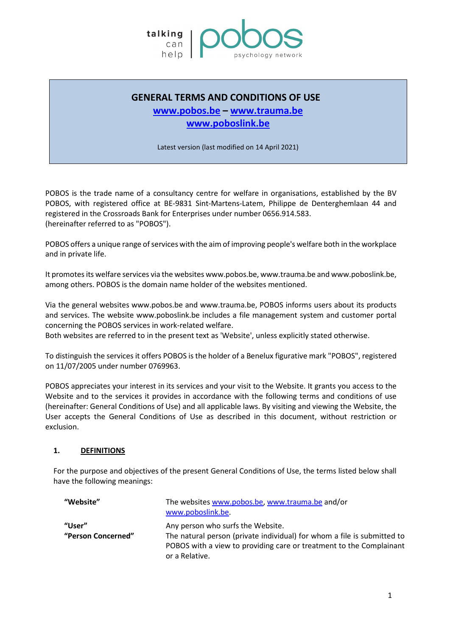

# **GENERAL TERMS AND CONDITIONS OF USE**

# **[www.pobos.be](http://www.pobos.be/) – [www.trauma.be](http://www.trauma.be/) [www.poboslink.be](http://www.poboslink.be/)**

Latest version (last modified on 14 April 2021)

POBOS is the trade name of a consultancy centre for welfare in organisations, established by the BV POBOS, with registered office at BE-9831 Sint-Martens-Latem, Philippe de Denterghemlaan 44 and registered in the Crossroads Bank for Enterprises under number 0656.914.583. (hereinafter referred to as "POBOS").

POBOS offers a unique range of services with the aim of improving people's welfare both in the workplace and in private life.

It promotes its welfare services via the websites www.pobos.be, www.trauma.be and www.poboslink.be, among others. POBOS is the domain name holder of the websites mentioned.

Via the general websites www.pobos.be and www.trauma.be, POBOS informs users about its products and services. The website www.poboslink.be includes a file management system and customer portal concerning the POBOS services in work-related welfare.

Both websites are referred to in the present text as 'Website', unless explicitly stated otherwise.

To distinguish the services it offers POBOS is the holder of a Benelux figurative mark "POBOS", registered on 11/07/2005 under number 0769963.

POBOS appreciates your interest in its services and your visit to the Website. It grants you access to the Website and to the services it provides in accordance with the following terms and conditions of use (hereinafter: General Conditions of Use) and all applicable laws. By visiting and viewing the Website, the User accepts the General Conditions of Use as described in this document, without restriction or exclusion.

#### **1. DEFINITIONS**

For the purpose and objectives of the present General Conditions of Use, the terms listed below shall have the following meanings:

| "Website"                    | The websites www.pobos.be, www.trauma.be and/or<br>www.poboslink.be.                                                                                                                                  |
|------------------------------|-------------------------------------------------------------------------------------------------------------------------------------------------------------------------------------------------------|
| "User"<br>"Person Concerned" | Any person who surfs the Website.<br>The natural person (private individual) for whom a file is submitted to<br>POBOS with a view to providing care or treatment to the Complainant<br>or a Relative. |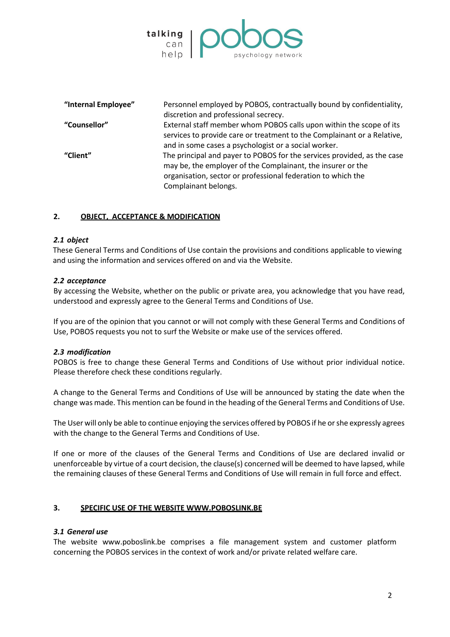

| "Internal Employee" | Personnel employed by POBOS, contractually bound by confidentiality,<br>discretion and professional secrecy.                                                                                                                   |
|---------------------|--------------------------------------------------------------------------------------------------------------------------------------------------------------------------------------------------------------------------------|
| "Counsellor"        | External staff member whom POBOS calls upon within the scope of its<br>services to provide care or treatment to the Complainant or a Relative,<br>and in some cases a psychologist or a social worker.                         |
| "Client"            | The principal and payer to POBOS for the services provided, as the case<br>may be, the employer of the Complainant, the insurer or the<br>organisation, sector or professional federation to which the<br>Complainant belongs. |

# **2. OBJECT, ACCEPTANCE & MODIFICATION**

#### *2.1 object*

 These General Terms and Conditions of Use contain the provisions and conditions applicable to viewing and using the information and services offered on and via the Website.

# *2.2 acceptance*

By accessing the Website, whether on the public or private area, you acknowledge that you have read, understood and expressly agree to the General Terms and Conditions of Use.

If you are of the opinion that you cannot or will not comply with these General Terms and Conditions of Use, POBOS requests you not to surf the Website or make use of the services offered.

#### *2.3 modification*

POBOS is free to change these General Terms and Conditions of Use without prior individual notice. Please therefore check these conditions regularly.

A change to the General Terms and Conditions of Use will be announced by stating the date when the change was made. This mention can be found in the heading of the General Terms and Conditions of Use.

The User will only be able to continue enjoying the services offered by POBOS if he or she expressly agrees with the change to the General Terms and Conditions of Use.

If one or more of the clauses of the General Terms and Conditions of Use are declared invalid or unenforceable by virtue of a court decision, the clause(s) concerned will be deemed to have lapsed, while the remaining clauses of these General Terms and Conditions of Use will remain in full force and effect.

#### **3. SPECIFIC USE OF THE WEBSITE WWW.POBOSLINK.BE**

#### *3.1 General use*

The website www.poboslink.be comprises a file management system and customer platform concerning the POBOS services in the context of work and/or private related welfare care.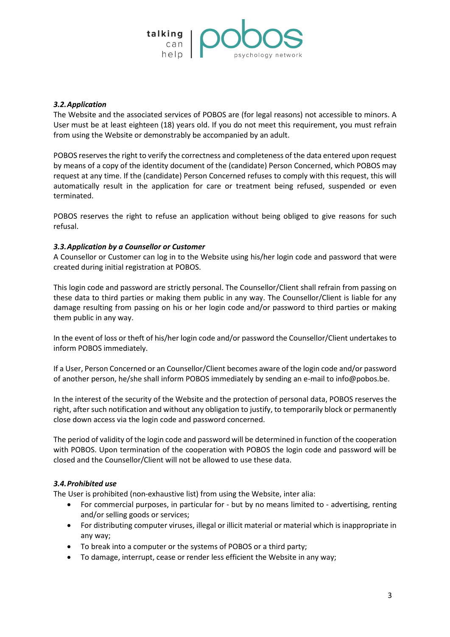

### *3.2.Application*

The Website and the associated services of POBOS are (for legal reasons) not accessible to minors. A User must be at least eighteen (18) years old. If you do not meet this requirement, you must refrain from using the Website or demonstrably be accompanied by an adult.

POBOS reserves the right to verify the correctness and completeness of the data entered upon request by means of a copy of the identity document of the (candidate) Person Concerned, which POBOS may request at any time. If the (candidate) Person Concerned refuses to comply with this request, this will automatically result in the application for care or treatment being refused, suspended or even terminated.

POBOS reserves the right to refuse an application without being obliged to give reasons for such refusal.

# *3.3.Application by a Counsellor or Customer*

A Counsellor or Customer can log in to the Website using his/her login code and password that were created during initial registration at POBOS.

This login code and password are strictly personal. The Counsellor/Client shall refrain from passing on these data to third parties or making them public in any way. The Counsellor/Client is liable for any damage resulting from passing on his or her login code and/or password to third parties or making them public in any way.

In the event of loss or theft of his/her login code and/or password the Counsellor/Client undertakes to inform POBOS immediately.

If a User, Person Concerned or an Counsellor/Client becomes aware of the login code and/or password of another person, he/she shall inform POBOS immediately by sending an e-mail to info@pobos.be.

In the interest of the security of the Website and the protection of personal data, POBOS reserves the right, after such notification and without any obligation to justify, to temporarily block or permanently close down access via the login code and password concerned.

The period of validity of the login code and password will be determined in function of the cooperation with POBOS. Upon termination of the cooperation with POBOS the login code and password will be closed and the Counsellor/Client will not be allowed to use these data.

# *3.4.Prohibited use*

The User is prohibited (non-exhaustive list) from using the Website, inter alia:

- For commercial purposes, in particular for but by no means limited to advertising, renting and/or selling goods or services;
- For distributing computer viruses, illegal or illicit material or material which is inappropriate in any way;
- To break into a computer or the systems of POBOS or a third party;
- To damage, interrupt, cease or render less efficient the Website in any way;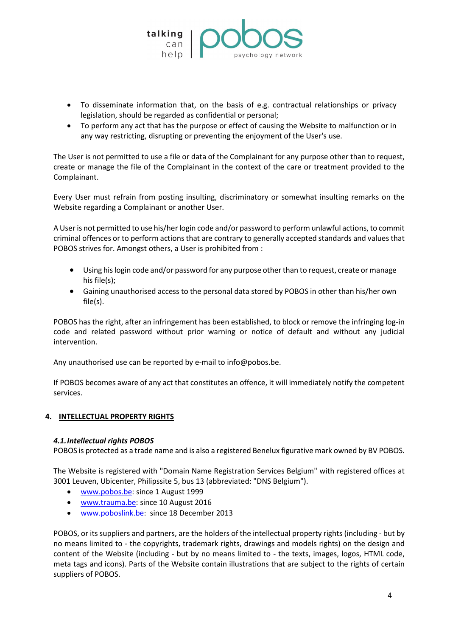

- To disseminate information that, on the basis of e.g. contractual relationships or privacy legislation, should be regarded as confidential or personal;
- To perform any act that has the purpose or effect of causing the Website to malfunction or in any way restricting, disrupting or preventing the enjoyment of the User's use.

The User is not permitted to use a file or data of the Complainant for any purpose other than to request, create or manage the file of the Complainant in the context of the care or treatment provided to the Complainant.

Every User must refrain from posting insulting, discriminatory or somewhat insulting remarks on the Website regarding a Complainant or another User.

A User is not permitted to use his/her login code and/or password to perform unlawful actions, to commit criminal offences or to perform actions that are contrary to generally accepted standards and values that POBOS strives for. Amongst others, a User is prohibited from :

- Using his login code and/or password for any purpose other than to request, create or manage his file(s);
- Gaining unauthorised access to the personal data stored by POBOS in other than his/her own file(s).

POBOS has the right, after an infringement has been established, to block or remove the infringing log-in code and related password without prior warning or notice of default and without any judicial intervention.

Any unauthorised use can be reported by e-mail to info@pobos.be.

If POBOS becomes aware of any act that constitutes an offence, it will immediately notify the competent services.

# **4. INTELLECTUAL PROPERTY RIGHTS**

#### *4.1.Intellectual rights POBOS*

POBOS is protected as a trade name and is also a registered Benelux figurative mark owned by BV POBOS.

The Website is registered with "Domain Name Registration Services Belgium" with registered offices at 3001 Leuven, Ubicenter, Philipssite 5, bus 13 (abbreviated: "DNS Belgium").

- [www.pobos.be:](http://www.pobos.be/) since 1 August 1999
- [www.trauma.be:](http://www.trauma.be/) since 10 August 2016
- [www.poboslink.be:](http://www.poboslink.be/) since 18 December 2013

POBOS, or its suppliers and partners, are the holders of the intellectual property rights (including - but by no means limited to - the copyrights, trademark rights, drawings and models rights) on the design and content of the Website (including - but by no means limited to - the texts, images, logos, HTML code, meta tags and icons). Parts of the Website contain illustrations that are subject to the rights of certain suppliers of POBOS.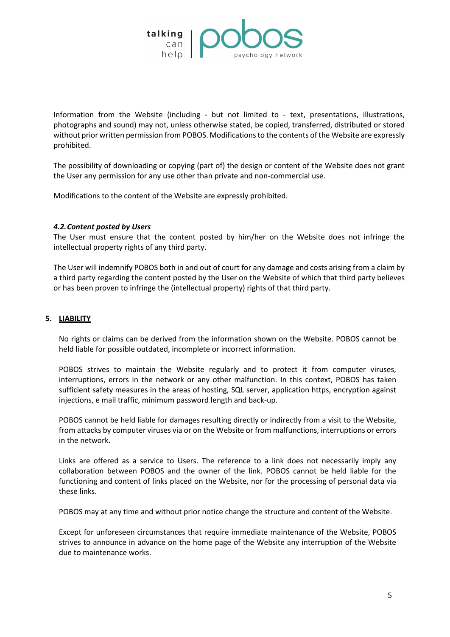

Information from the Website (including - but not limited to - text, presentations, illustrations, photographs and sound) may not, unless otherwise stated, be copied, transferred, distributed or stored without prior written permission from POBOS. Modifications to the contents of the Website are expressly prohibited.

The possibility of downloading or copying (part of) the design or content of the Website does not grant the User any permission for any use other than private and non-commercial use.

Modifications to the content of the Website are expressly prohibited.

#### *4.2.Content posted by Users*

The User must ensure that the content posted by him/her on the Website does not infringe the intellectual property rights of any third party.

The User will indemnify POBOS both in and out of court for any damage and costs arising from a claim by a third party regarding the content posted by the User on the Website of which that third party believes or has been proven to infringe the (intellectual property) rights of that third party.

### **5. LIABILITY**

No rights or claims can be derived from the information shown on the Website. POBOS cannot be held liable for possible outdated, incomplete or incorrect information.

POBOS strives to maintain the Website regularly and to protect it from computer viruses, interruptions, errors in the network or any other malfunction. In this context, POBOS has taken sufficient safety measures in the areas of hosting, SQL server, application https, encryption against injections, e mail traffic, minimum password length and back-up.

POBOS cannot be held liable for damages resulting directly or indirectly from a visit to the Website, from attacks by computer viruses via or on the Website or from malfunctions, interruptions or errors in the network.

Links are offered as a service to Users. The reference to a link does not necessarily imply any collaboration between POBOS and the owner of the link. POBOS cannot be held liable for the functioning and content of links placed on the Website, nor for the processing of personal data via these links.

POBOS may at any time and without prior notice change the structure and content of the Website.

Except for unforeseen circumstances that require immediate maintenance of the Website, POBOS strives to announce in advance on the home page of the Website any interruption of the Website due to maintenance works.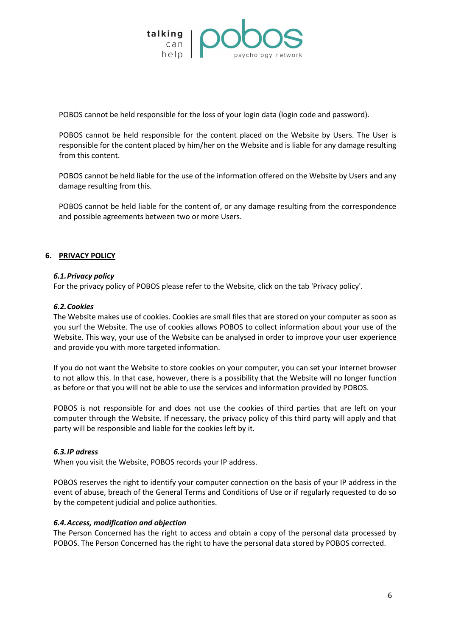

POBOS cannot be held responsible for the loss of your login data (login code and password).

POBOS cannot be held responsible for the content placed on the Website by Users. The User is responsible for the content placed by him/her on the Website and is liable for any damage resulting from this content.

POBOS cannot be held liable for the use of the information offered on the Website by Users and any damage resulting from this.

POBOS cannot be held liable for the content of, or any damage resulting from the correspondence and possible agreements between two or more Users.

# **6. PRIVACY POLICY**

#### *6.1.Privacy policy*

For the privacy policy of POBOS please refer to the Website, click on the tab 'Privacy policy'.

#### *6.2.Cookies*

The Website makes use of cookies. Cookies are small files that are stored on your computer as soon as you surf the Website. The use of cookies allows POBOS to collect information about your use of the Website. This way, your use of the Website can be analysed in order to improve your user experience and provide you with more targeted information.

If you do not want the Website to store cookies on your computer, you can set your internet browser to not allow this. In that case, however, there is a possibility that the Website will no longer function as before or that you will not be able to use the services and information provided by POBOS.

POBOS is not responsible for and does not use the cookies of third parties that are left on your computer through the Website. If necessary, the privacy policy of this third party will apply and that party will be responsible and liable for the cookies left by it.

#### *6.3.IP adress*

When you visit the Website, POBOS records your IP address.

POBOS reserves the right to identify your computer connection on the basis of your IP address in the event of abuse, breach of the General Terms and Conditions of Use or if regularly requested to do so by the competent judicial and police authorities.

#### *6.4.Access, modification and objection*

The Person Concerned has the right to access and obtain a copy of the personal data processed by POBOS. The Person Concerned has the right to have the personal data stored by POBOS corrected.